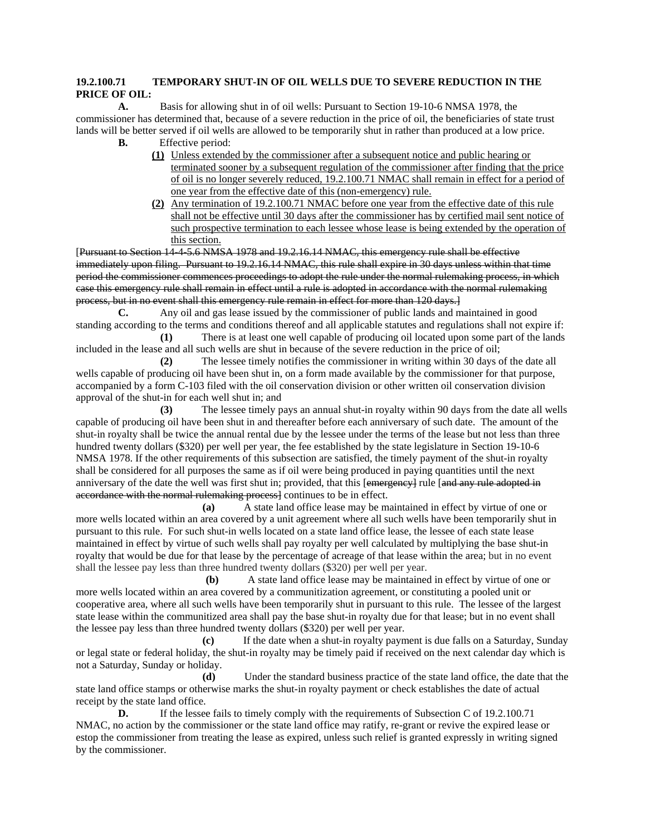## **19.2.100.71 TEMPORARY SHUT-IN OF OIL WELLS DUE TO SEVERE REDUCTION IN THE PRICE OF OIL:**

 **A.** Basis for allowing shut in of oil wells: Pursuant to Section 19-10-6 NMSA 1978, the commissioner has determined that, because of a severe reduction in the price of oil, the beneficiaries of state trust lands will be better served if oil wells are allowed to be temporarily shut in rather than produced at a low price.

**B.** Effective period:

- **(1)** Unless extended by the commissioner after a subsequent notice and public hearing or terminated sooner by a subsequent regulation of the commissioner after finding that the price of oil is no longer severely reduced, 19.2.100.71 NMAC shall remain in effect for a period of one year from the effective date of this (non-emergency) rule.
- **(2)** Any termination of 19.2.100.71 NMAC before one year from the effective date of this rule shall not be effective until 30 days after the commissioner has by certified mail sent notice of such prospective termination to each lessee whose lease is being extended by the operation of this section.

[Pursuant to Section 14-4-5.6 NMSA 1978 and 19.2.16.14 NMAC, this emergency rule shall be effective immediately upon filing. Pursuant to 19.2.16.14 NMAC, this rule shall expire in 30 days unless within that time period the commissioner commences proceedings to adopt the rule under the normal rulemaking process, in which case this emergency rule shall remain in effect until a rule is adopted in accordance with the normal rulemaking process, but in no event shall this emergency rule remain in effect for more than 120 days.]

 **C.** Any oil and gas lease issued by the commissioner of public lands and maintained in good standing according to the terms and conditions thereof and all applicable statutes and regulations shall not expire if:

 **(1)** There is at least one well capable of producing oil located upon some part of the lands included in the lease and all such wells are shut in because of the severe reduction in the price of oil;

 **(2)** The lessee timely notifies the commissioner in writing within 30 days of the date all wells capable of producing oil have been shut in, on a form made available by the commissioner for that purpose, accompanied by a form C-103 filed with the oil conservation division or other written oil conservation division approval of the shut-in for each well shut in; and

 **(3)** The lessee timely pays an annual shut-in royalty within 90 days from the date all wells capable of producing oil have been shut in and thereafter before each anniversary of such date. The amount of the shut-in royalty shall be twice the annual rental due by the lessee under the terms of the lease but not less than three hundred twenty dollars (\$320) per well per year, the fee established by the state legislature in Section 19-10-6 NMSA 1978. If the other requirements of this subsection are satisfied, the timely payment of the shut-in royalty shall be considered for all purposes the same as if oil were being produced in paying quantities until the next anniversary of the date the well was first shut in; provided, that this [emergency] rule [and any rule adopted in accordance with the normal rulemaking process] continues to be in effect.

 **(a)** A state land office lease may be maintained in effect by virtue of one or more wells located within an area covered by a unit agreement where all such wells have been temporarily shut in pursuant to this rule. For such shut-in wells located on a state land office lease, the lessee of each state lease maintained in effect by virtue of such wells shall pay royalty per well calculated by multiplying the base shut-in royalty that would be due for that lease by the percentage of acreage of that lease within the area; but in no event shall the lessee pay less than three hundred twenty dollars (\$320) per well per year.

 **(b)** A state land office lease may be maintained in effect by virtue of one or more wells located within an area covered by a communitization agreement, or constituting a pooled unit or cooperative area, where all such wells have been temporarily shut in pursuant to this rule. The lessee of the largest state lease within the communitized area shall pay the base shut-in royalty due for that lease; but in no event shall the lessee pay less than three hundred twenty dollars (\$320) per well per year.

 **(c)** If the date when a shut-in royalty payment is due falls on a Saturday, Sunday or legal state or federal holiday, the shut-in royalty may be timely paid if received on the next calendar day which is not a Saturday, Sunday or holiday.

 **(d)** Under the standard business practice of the state land office, the date that the state land office stamps or otherwise marks the shut-in royalty payment or check establishes the date of actual receipt by the state land office.

**D.** If the lessee fails to timely comply with the requirements of Subsection C of 19.2.100.71 NMAC, no action by the commissioner or the state land office may ratify, re-grant or revive the expired lease or estop the commissioner from treating the lease as expired, unless such relief is granted expressly in writing signed by the commissioner.